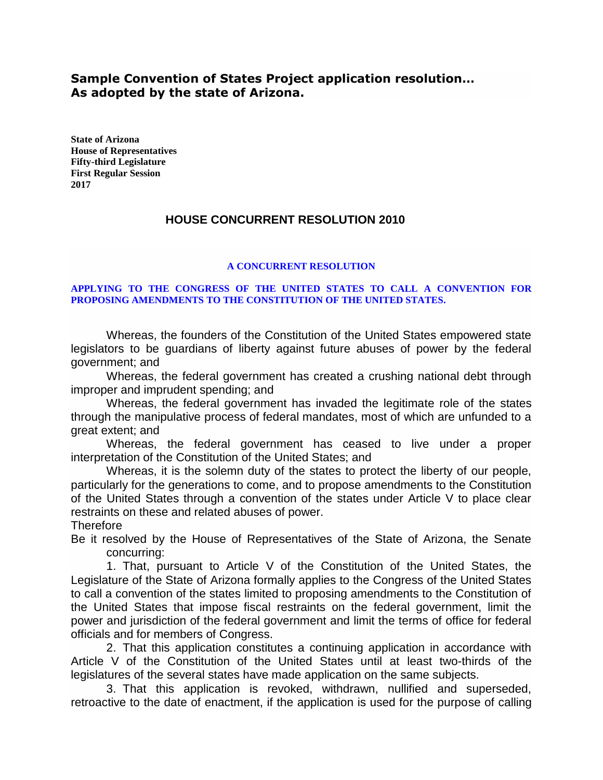## **Sample Convention of States Project application resolution… As adopted by the state of Arizona.**

**State of Arizona House of Representatives Fifty-third Legislature First Regular Session 2017**

## **HOUSE CONCURRENT RESOLUTION 2010**

## **A CONCURRENT RESOLUTION**

## **APPLYING TO THE CONGRESS OF THE UNITED STATES TO CALL A CONVENTION FOR PROPOSING AMENDMENTS TO THE CONSTITUTION OF THE UNITED STATES.**

Whereas, the founders of the Constitution of the United States empowered state legislators to be guardians of liberty against future abuses of power by the federal government; and

Whereas, the federal government has created a crushing national debt through improper and imprudent spending; and

Whereas, the federal government has invaded the legitimate role of the states through the manipulative process of federal mandates, most of which are unfunded to a great extent; and

Whereas, the federal government has ceased to live under a proper interpretation of the Constitution of the United States; and

Whereas, it is the solemn duty of the states to protect the liberty of our people, particularly for the generations to come, and to propose amendments to the Constitution of the United States through a convention of the states under Article V to place clear restraints on these and related abuses of power.

**Therefore** 

Be it resolved by the House of Representatives of the State of Arizona, the Senate concurring:

1. That, pursuant to Article V of the Constitution of the United States, the Legislature of the State of Arizona formally applies to the Congress of the United States to call a convention of the states limited to proposing amendments to the Constitution of the United States that impose fiscal restraints on the federal government, limit the power and jurisdiction of the federal government and limit the terms of office for federal officials and for members of Congress.

2. That this application constitutes a continuing application in accordance with Article V of the Constitution of the United States until at least two-thirds of the legislatures of the several states have made application on the same subjects.

3. That this application is revoked, withdrawn, nullified and superseded, retroactive to the date of enactment, if the application is used for the purpose of calling